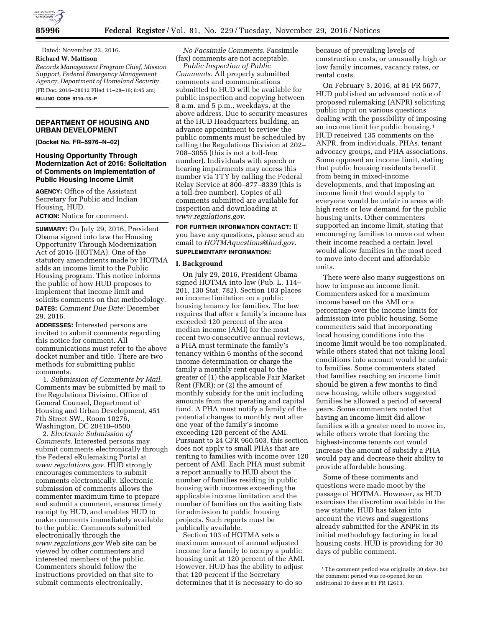

Dated: November 22, 2016. **Richard W. Mattison**  *Records Management Program Chief, Mission Support, Federal Emergency Management* 

*Agency, Department of Homeland Security.*  [FR Doc. 2016–28612 Filed 11–28–16; 8:45 am] **BILLING CODE 9110–13–P** 

## **DEPARTMENT OF HOUSING AND URBAN DEVELOPMENT**

**[Docket No. FR–5976–N–02]** 

## **Housing Opportunity Through Modernization Act of 2016: Solicitation of Comments on Implementation of Public Housing Income Limit**

**AGENCY:** Office of the Assistant Secretary for Public and Indian Housing, HUD. **ACTION:** Notice for comment.

**SUMMARY:** On July 29, 2016, President Obama signed into law the Housing Opportunity Through Modernization Act of 2016 (HOTMA). One of the statutory amendments made by HOTMA adds an income limit to the Public Housing program. This notice informs the public of how HUD proposes to implement that income limit and solicits comments on that methodology. **DATES:** *Comment Due Date:* December 29, 2016.

**ADDRESSES:** Interested persons are invited to submit comments regarding this notice for comment. All communications must refer to the above docket number and title. There are two methods for submitting public comments.

1. *Submission of Comments by Mail.*  Comments may be submitted by mail to the Regulations Division, Office of General Counsel, Department of Housing and Urban Development, 451 7th Street SW., Room 10276, Washington, DC 20410–0500.

2. *Electronic Submission of Comments.* Interested persons may submit comments electronically through the Federal eRulemaking Portal at *www.regulations.gov.* HUD strongly encourages commenters to submit comments electronically. Electronic submission of comments allows the commenter maximum time to prepare and submit a comment, ensures timely receipt by HUD, and enables HUD to make comments immediately available to the public. Comments submitted electronically through the *www.regulations.gov* Web site can be viewed by other commenters and interested members of the public. Commenters should follow the instructions provided on that site to submit comments electronically.

*No Facsimile Comments.* Facsimile (fax) comments are not acceptable.

*Public Inspection of Public Comments.* All properly submitted comments and communications submitted to HUD will be available for public inspection and copying between 8 a.m. and 5 p.m., weekdays, at the above address. Due to security measures at the HUD Headquarters building, an advance appointment to review the public comments must be scheduled by calling the Regulations Division at 202– 708–3055 (this is not a toll-free number). Individuals with speech or hearing impairments may access this number via TTY by calling the Federal Relay Service at 800–877–8339 (this is a toll-free number). Copies of all comments submitted are available for inspection and downloading at *www.regulations.gov*.

**FOR FURTHER INFORMATION CONTACT:** If you have any questions, please send an email to *HOTMAquestions@hud.gov*. **SUPPLEMENTARY INFORMATION:** 

### **I. Background**

On July 29, 2016, President Obama signed HOTMA into law (Pub. L. 114– 201, 130 Stat. 782). Section 103 places an income limitation on a public housing tenancy for families. The law requires that after a family's income has exceeded 120 percent of the area median income (AMI) for the most recent two consecutive annual reviews, a PHA must terminate the family's tenancy within 6 months of the second income determination or charge the family a monthly rent equal to the greater of (1) the applicable Fair Market Rent (FMR); or (2) the amount of monthly subsidy for the unit including amounts from the operating and capital fund. A PHA must notify a family of the potential changes to monthly rent after one year of the family's income exceeding 120 percent of the AMI. Pursuant to 24 CFR 960.503, this section does not apply to small PHAs that are renting to families with income over 120 percent of AMI. Each PHA must submit a report annually to HUD about the number of families residing in public housing with incomes exceeding the applicable income limitation and the number of families on the waiting lists for admission to public housing projects. Such reports must be publically available.

Section 103 of HOTMA sets a maximum amount of annual adjusted income for a family to occupy a public housing unit at 120 percent of the AMI. However, HUD has the ability to adjust that 120 percent if the Secretary determines that it is necessary to do so

because of prevailing levels of construction costs, or unusually high or low family incomes, vacancy rates, or rental costs.

On February 3, 2016, at 81 FR 5677, HUD published an advanced notice of proposed rulemaking (ANPR) soliciting public input on various questions dealing with the possibility of imposing an income limit for public housing.1 HUD received 135 comments on the ANPR, from individuals, PHAs, tenant advocacy groups, and PHA associations. Some opposed an income limit, stating that public housing residents benefit from being in mixed-income developments, and that imposing an income limit that would apply to everyone would be unfair in areas with high rents or low demand for the public housing units. Other commenters supported an income limit, stating that encouraging families to move out when their income reached a certain level would allow families in the most need to move into decent and affordable units.

There were also many suggestions on how to impose an income limit. Commenters asked for a maximum income based on the AMI or a percentage over the income limits for admission into public housing. Some commenters said that incorporating local housing conditions into the income limit would be too complicated, while others stated that not taking local conditions into account would be unfair to families. Some commenters stated that families reaching an income limit should be given a few months to find new housing, while others suggested families be allowed a period of several years. Some commenters noted that having an income limit did allow families with a greater need to move in, while others wrote that forcing the highest-income tenants out would increase the amount of subsidy a PHA would pay and decrease their ability to provide affordable housing.

Some of these comments and questions were made moot by the passage of HOTMA. However, as HUD exercises the discretion available in the new statute, HUD has taken into account the views and suggestions already submitted for the ANPR in its initial methodology factoring in local housing costs. HUD is providing for 30 days of public comment.

<sup>&</sup>lt;sup>1</sup>The comment period was originally 30 days, but the comment period was re-opened for an additional 30 days at 81 FR 12613.